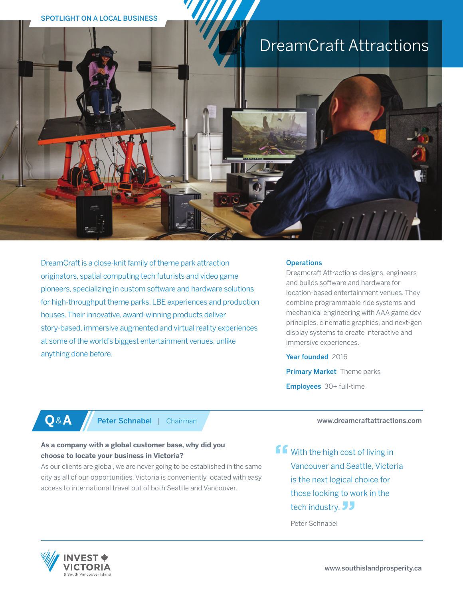

DreamCraft is a close-knit family of theme park attraction originators, spatial computing tech futurists and video game pioneers, specializing in custom software and hardware solutions for high-throughput theme parks, LBE experiences and production houses. Their innovative, award-winning products deliver story-based, immersive augmented and virtual reality experiences at some of the world's biggest entertainment venues, unlike anything done before.

#### **Operations**

Dreamcraft Attractions designs, engineers and builds software and hardware for location-based entertainment venues. They combine programmable ride systems and mechanical engineering with AAA game dev principles, cinematic graphics, and next-gen display systems to create interactive and immersive experiences.

Year founded 2016

**Primary Market** Theme parks Employees 30+ full-time

# **Q&A** Peter Schnabel | Chairman

## **As a company with a global customer base, why did you choose to locate your business in Victoria?**

As our clients are global, we are never going to be established in the same city as all of our opportunities. Victoria is conveniently located with easy access to international travel out of both Seattle and Vancouver.

www.dreamcraftattractions.com

ff with the high cost of living in Vancouver and Seattle, Victoria is the next logical choice for those looking to work in the tech industry. JJ

Peter Schnabel